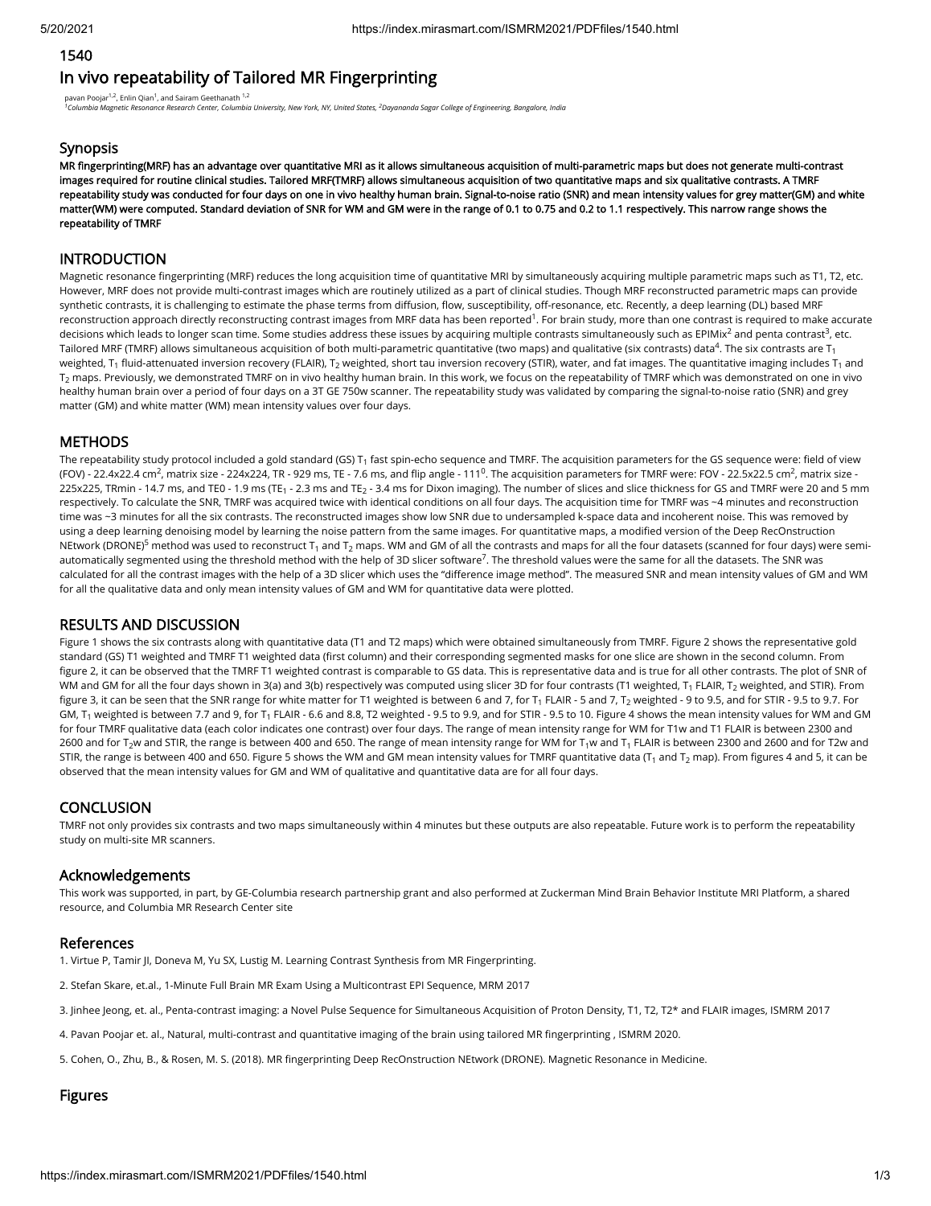## 1540

# In vivo repeatability of Tailored MR Fingerprinting

pavan Poojar<sup>1,2</sup>, Enlin Qian<sup>1</sup>, and Sairam Geethanath <sup>1,2</sup>

*Columbia Magnetic Resonance Research Center, Columbia University, New York, NY, United States, Dayananda Sagar College of Engineering, Bangalore, India 1 2*

#### **Synopsis**

MR fingerprinting(MRF) has an advantage over quantitative MRI as it allows simultaneous acquisition of multi-parametric maps but does not generate multi-contrast images required for routine clinical studies. Tailored MRF(TMRF) allows simultaneous acquisition of two quantitative maps and six qualitative contrasts. A TMRF repeatability study was conducted for four days on one in vivo healthy human brain. Signal-to-noise ratio (SNR) and mean intensity values for grey matter(GM) and white matter(WM) were computed. Standard deviation of SNR for WM and GM were in the range of 0.1 to 0.75 and 0.2 to 1.1 respectively. This narrow range shows the repeatability of TMRF

# INTRODUCTION

Magnetic resonance fingerprinting (MRF) reduces the long acquisition time of quantitative MRI by simultaneously acquiring multiple parametric maps such as T1, T2, etc. However, MRF does not provide multi-contrast images which are routinely utilized as a part of clinical studies. Though MRF reconstructed parametric maps can provide synthetic contrasts, it is challenging to estimate the phase terms from diffusion, flow, susceptibility, off-resonance, etc. Recently, a deep learning (DL) based MRF reconstruction approach directly reconstructing contrast images from MRF data has been reported<sup>1</sup>. For brain study, more than one contrast is required to make accurate decisions which leads to longer scan time. Some studies address these issues by acquiring multiple contrasts simultaneously such as EPIMix $^2$  and penta contrast $^3$ , etc. Tailored MRF (TMRF) allows simultaneous acquisition of both multi-parametric quantitative (two maps) and qualitative (six contrasts) data $^4$ . The six contrasts are T $_{\rm 1}$ weighted, T<sub>1</sub> fluid-attenuated inversion recovery (FLAIR), T<sub>2</sub> weighted, short tau inversion recovery (STIR), water, and fat images. The quantitative imaging includes T<sub>1</sub> and  $\mathsf{T}_2$  maps. Previously, we demonstrated TMRF on in vivo healthy human brain. In this work, we focus on the repeatability of TMRF which was demonstrated on one in vivo healthy human brain over a period of four days on a 3T GE 750w scanner. The repeatability study was validated by comparing the signal-to-noise ratio (SNR) and grey matter (GM) and white matter (WM) mean intensity values over four days.

## **METHODS**

The repeatability study protocol included a gold standard (GS) T $_{\rm 1}$  fast spin-echo sequence and TMRF. The acquisition parameters for the GS sequence were: field of view (FOV) - 22.4x22.4 cm<sup>2</sup>, matrix size - 224x224, TR - 929 ms, TE - 7.6 ms, and flip angle - 111<sup>0</sup>. The acquisition parameters for TMRF were: FOV - 22.5x22.5 cm<sup>2</sup>, matrix size -225x225, TRmin - 14.7 ms, and TE0 - 1.9 ms (TE<sub>1</sub> - 2.3 ms and TE<sub>2</sub> - 3.4 ms for Dixon imaging). The number of slices and slice thickness for GS and TMRF were 20 and 5 mm respectively. To calculate the SNR, TMRF was acquired twice with identical conditions on all four days. The acquisition time for TMRF was ~4 minutes and reconstruction time was ~3 minutes for all the six contrasts. The reconstructed images show low SNR due to undersampled k-space data and incoherent noise. This was removed by using a deep learning denoising model by learning the noise pattern from the same images. For quantitative maps, a modified version of the Deep RecOnstruction NEtwork (DRONE)<sup>5</sup> method was used to reconstruct T<sub>1</sub> and T<sub>2</sub> maps. WM and GM of all the contrasts and maps for all the four datasets (scanned for four days) were semiautomatically segmented using the threshold method with the help of 3D slicer software<sup>7</sup>. The threshold values were the same for all the datasets. The SNR was calculated for all the contrast images with the help of a 3D slicer which uses the "difference image method". The measured SNR and mean intensity values of GM and WM for all the qualitative data and only mean intensity values of GM and WM for quantitative data were plotted.

# RESULTS AND DISCUSSION

Figure 1 shows the six contrasts along with quantitative data (T1 and T2 maps) which were obtained simultaneously from TMRF. Figure 2 shows the representative gold standard (GS) T1 weighted and TMRF T1 weighted data (first column) and their corresponding segmented masks for one slice are shown in the second column. From figure 2, it can be observed that the TMRF T1 weighted contrast is comparable to GS data. This is representative data and is true for all other contrasts. The plot of SNR of WM and GM for all the four days shown in 3(a) and 3(b) respectively was computed using slicer 3D for four contrasts (T1 weighted, T<sub>1</sub> FLAIR, T<sub>2</sub> weighted, and STIR). From figure 3, it can be seen that the SNR range for white matter for T1 weighted is between 6 and 7, for T<sub>1</sub> FLAIR - 5 and 7, T<sub>2</sub> weighted - 9 to 9.5, and for STIR - 9.5 to 9.7. For GM, T $_{\rm 1}$  weighted is between 7.7 and 9, for T $_{\rm 1}$  FLAIR - 6.6 and 8.8, T2 weighted - 9.5 to 9.9, and for STIR - 9.5 to 10. Figure 4 shows the mean intensity values for WM and GM for four TMRF qualitative data (each color indicates one contrast) over four days. The range of mean intensity range for WM for T1w and T1 FLAIR is between 2300 and 2600 and for T $_2$ w and STIR, the range is between 400 and 650. The range of mean intensity range for WM for T $_1$ w and T $_1$  FLAIR is between 2300 and 2600 and for T2w and STIR, the range is between 400 and 650. Figure 5 shows the WM and GM mean intensity values for TMRF quantitative data (T $_{\rm 1}$  and T $_{\rm 2}$  map). From figures 4 and 5, it can be observed that the mean intensity values for GM and WM of qualitative and quantitative data are for all four days.

#### **CONCLUSION**

TMRF not only provides six contrasts and two maps simultaneously within 4 minutes but these outputs are also repeatable. Future work is to perform the repeatability study on multi-site MR scanners.

## Acknowledgements

This work was supported, in part, by GE-Columbia research partnership grant and also performed at Zuckerman Mind Brain Behavior Institute MRI Platform, a shared resource, and Columbia MR Research Center site

#### References

1. Virtue P, Tamir JI, Doneva M, Yu SX, Lustig M. Learning Contrast Synthesis from MR Fingerprinting.

- 2. Stefan Skare, et.al., 1-Minute Full Brain MR Exam Using a Multicontrast EPI Sequence, MRM 2017
- 3. Jinhee Jeong, et. al., Penta-contrast imaging: a Novel Pulse Sequence for Simultaneous Acquisition of Proton Density, T1, T2, T2\* and FLAIR images, ISMRM 2017
- 4. Pavan Poojar et. al., Natural, multi-contrast and quantitative imaging of the brain using tailored MR fingerprinting , ISMRM 2020.
- 5. Cohen, O., Zhu, B., & Rosen, M. S. (2018). MR fingerprinting Deep RecOnstruction NEtwork (DRONE). Magnetic Resonance in Medicine.

# Figures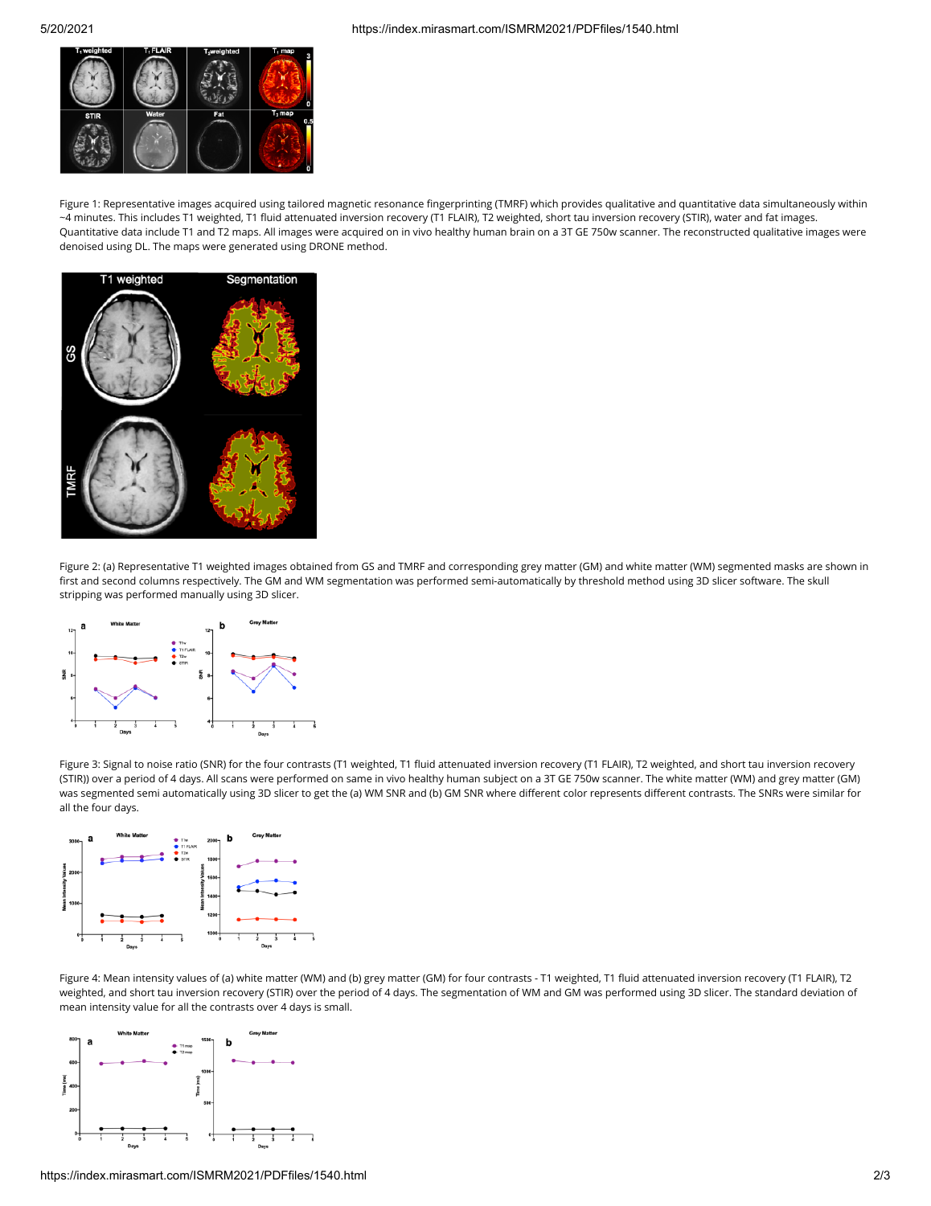

Figure 1: Representative images acquired using tailored magnetic resonance fingerprinting (TMRF) which provides qualitative and quantitative data simultaneously within ~4 minutes. This includes T1 weighted, T1 fluid attenuated inversion recovery (T1 FLAIR), T2 weighted, short tau inversion recovery (STIR), water and fat images. Quantitative data include T1 and T2 maps. All images were acquired on in vivo healthy human brain on a 3T GE 750w scanner. The reconstructed qualitative images were denoised using DL. The maps were generated using DRONE method.



Figure 2: (a) Representative T1 weighted images obtained from GS and TMRF and corresponding grey matter (GM) and white matter (WM) segmented masks are shown in first and second columns respectively. The GM and WM segmentation was performed semi-automatically by threshold method using 3D slicer software. The skull stripping was performed manually using 3D slicer.



Figure 3: Signal to noise ratio (SNR) for the four contrasts (T1 weighted, T1 fluid attenuated inversion recovery (T1 FLAIR), T2 weighted, and short tau inversion recovery (STIR)) over a period of 4 days. All scans were performed on same in vivo healthy human subject on a 3T GE 750w scanner. The white matter (WM) and grey matter (GM) was segmented semi automatically using 3D slicer to get the (a) WM SNR and (b) GM SNR where different color represents different contrasts. The SNRs were similar for all the four days.



Figure 4: Mean intensity values of (a) white matter (WM) and (b) grey matter (GM) for four contrasts - T1 weighted, T1 fluid attenuated inversion recovery (T1 FLAIR), T2 weighted, and short tau inversion recovery (STIR) over the period of 4 days. The segmentation of WM and GM was performed using 3D slicer. The standard deviation of mean intensity value for all the contrasts over 4 days is small.